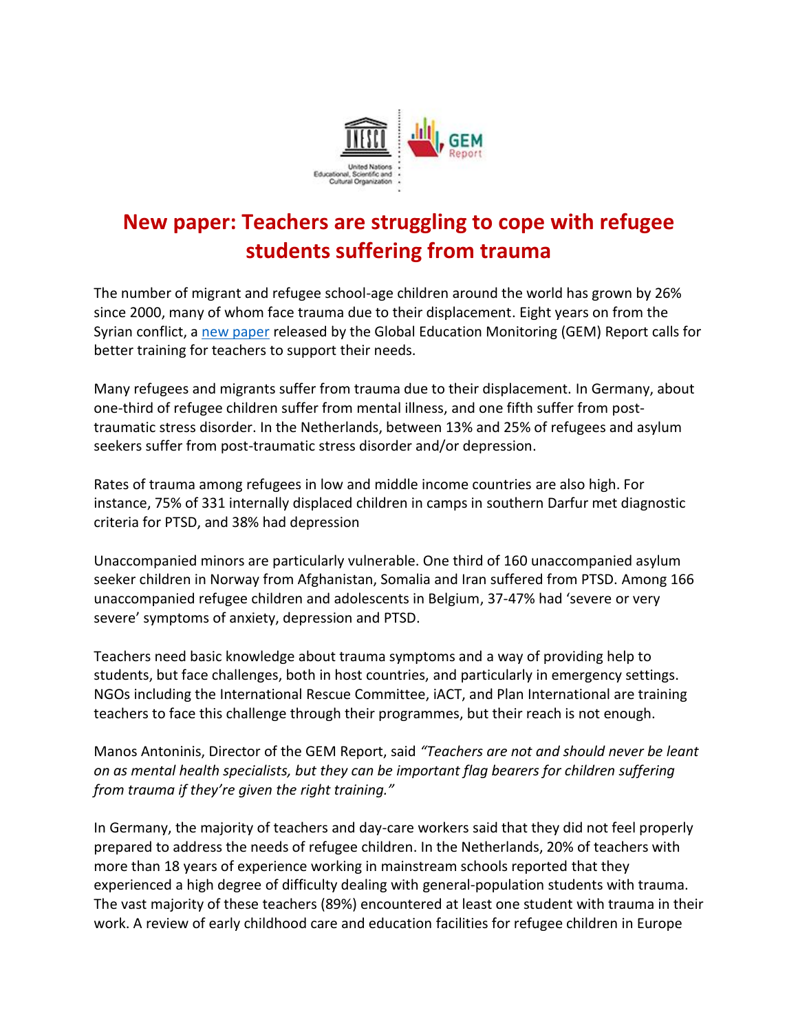

## **New paper: Teachers are struggling to cope with refugee students suffering from trauma**

The number of migrant and refugee school-age children around the world has grown by 26% since 2000, many of whom face trauma due to their displacement. Eight years on from the Syrian conflict, a [new paper](https://unesdoc.unesco.org/ark:/48223/pf0000367812) released by the Global Education Monitoring (GEM) Report calls for better training for teachers to support their needs.

Many refugees and migrants suffer from trauma due to their displacement. In Germany, about one-third of refugee children suffer from mental illness, and one fifth suffer from posttraumatic stress disorder. In the Netherlands, between 13% and 25% of refugees and asylum seekers suffer from post-traumatic stress disorder and/or depression.

Rates of trauma among refugees in low and middle income countries are also high. For instance, 75% of 331 internally displaced children in camps in southern Darfur met diagnostic criteria for PTSD, and 38% had depression

Unaccompanied minors are particularly vulnerable. One third of 160 unaccompanied asylum seeker children in Norway from Afghanistan, Somalia and Iran suffered from PTSD. Among 166 unaccompanied refugee children and adolescents in Belgium, 37-47% had 'severe or very severe' symptoms of anxiety, depression and PTSD.

Teachers need basic knowledge about trauma symptoms and a way of providing help to students, but face challenges, both in host countries, and particularly in emergency settings. NGOs including the International Rescue Committee, iACT, and Plan International are training teachers to face this challenge through their programmes, but their reach is not enough.

Manos Antoninis, Director of the GEM Report, said *"Teachers are not and should never be leant on as mental health specialists, but they can be important flag bearers for children suffering from trauma if they're given the right training."*

In Germany, the majority of teachers and day-care workers said that they did not feel properly prepared to address the needs of refugee children. In the Netherlands, 20% of teachers with more than 18 years of experience working in mainstream schools reported that they experienced a high degree of difficulty dealing with general-population students with trauma. The vast majority of these teachers (89%) encountered at least one student with trauma in their work. A review of early childhood care and education facilities for refugee children in Europe